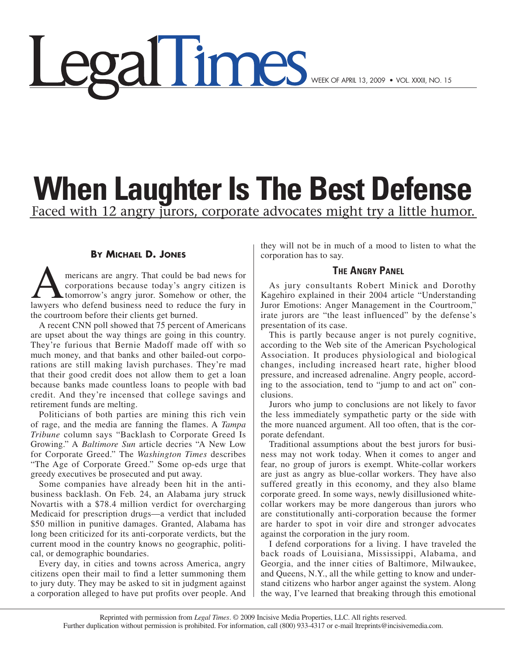# <u>egal limes</u>

### **When Laughter Is The Best Defense** Faced with 12 angry jurors, corporate advocates might try a little humor.

#### **By Michael D. Jones**

mericans are angry. That could be bad news for<br>corporations because today's angry citizen is<br>tomorrow's angry juror. Somehow or other, the<br>lawyers who defend business need to reduce the fury in corporations because today's angry citizen is tomorrow's angry juror. Somehow or other, the lawyers who defend business need to reduce the fury in the courtroom before their clients get burned.

A recent CNN poll showed that 75 percent of Americans are upset about the way things are going in this country. They're furious that Bernie Madoff made off with so much money, and that banks and other bailed-out corporations are still making lavish purchases. They're mad that their good credit does not allow them to get a loan because banks made countless loans to people with bad credit. And they're incensed that college savings and retirement funds are melting.

Politicians of both parties are mining this rich vein of rage, and the media are fanning the flames. A *Tampa Tribune* column says "Backlash to Corporate Greed Is Growing." A *Baltimore Sun* article decries "A New Low for Corporate Greed." The *Washington Times* describes "The Age of Corporate Greed." Some op-eds urge that greedy executives be prosecuted and put away.

Some companies have already been hit in the antibusiness backlash. On Feb. 24, an Alabama jury struck Novartis with a \$78.4 million verdict for overcharging Medicaid for prescription drugs—a verdict that included \$50 million in punitive damages. Granted, Alabama has long been criticized for its anti-corporate verdicts, but the current mood in the country knows no geographic, political, or demographic boundaries.

Every day, in cities and towns across America, angry citizens open their mail to find a letter summoning them to jury duty. They may be asked to sit in judgment against a corporation alleged to have put profits over people. And

they will not be in much of a mood to listen to what the corporation has to say.

#### **The Angry Panel**

As jury consultants Robert Minick and Dorothy Kagehiro explained in their 2004 article "Understanding Juror Emotions: Anger Management in the Courtroom," irate jurors are "the least influenced" by the defense's presentation of its case.

This is partly because anger is not purely cognitive, according to the Web site of the American Psychological Association. It produces physiological and biological changes, including increased heart rate, higher blood pressure, and increased adrenaline. Angry people, according to the association, tend to "jump to and act on" conclusions.

Jurors who jump to conclusions are not likely to favor the less immediately sympathetic party or the side with the more nuanced argument. All too often, that is the corporate defendant.

Traditional assumptions about the best jurors for business may not work today. When it comes to anger and fear, no group of jurors is exempt. White-collar workers are just as angry as blue-collar workers. They have also suffered greatly in this economy, and they also blame corporate greed. In some ways, newly disillusioned whitecollar workers may be more dangerous than jurors who are constitutionally anti-corporation because the former are harder to spot in voir dire and stronger advocates against the corporation in the jury room.

I defend corporations for a living. I have traveled the back roads of Louisiana, Mississippi, Alabama, and Georgia, and the inner cities of Baltimore, Milwaukee, and Queens, N.Y., all the while getting to know and understand citizens who harbor anger against the system. Along the way, I've learned that breaking through this emotional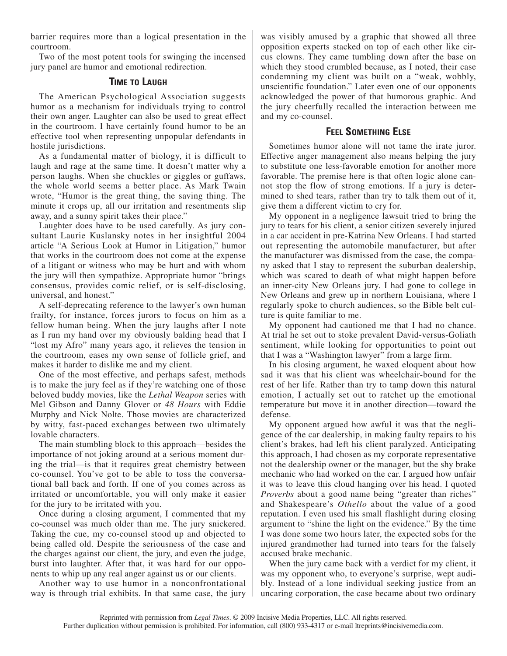barrier requires more than a logical presentation in the courtroom.

Two of the most potent tools for swinging the incensed jury panel are humor and emotional redirection.

#### **Time to Laugh**

The American Psychological Association suggests humor as a mechanism for individuals trying to control their own anger. Laughter can also be used to great effect in the courtroom. I have certainly found humor to be an effective tool when representing unpopular defendants in hostile jurisdictions.

As a fundamental matter of biology, it is difficult to laugh and rage at the same time. It doesn't matter why a person laughs. When she chuckles or giggles or guffaws, the whole world seems a better place. As Mark Twain wrote, "Humor is the great thing, the saving thing. The minute it crops up, all our irritation and resentments slip away, and a sunny spirit takes their place."

Laughter does have to be used carefully. As jury consultant Laurie Kuslansky notes in her insightful 2004 article "A Serious Look at Humor in Litigation," humor that works in the courtroom does not come at the expense of a litigant or witness who may be hurt and with whom the jury will then sympathize. Appropriate humor "brings consensus, provides comic relief, or is self-disclosing, universal, and honest."

A self-deprecating reference to the lawyer's own human frailty, for instance, forces jurors to focus on him as a fellow human being. When the jury laughs after I note as I run my hand over my obviously balding head that I "lost my Afro" many years ago, it relieves the tension in the courtroom, eases my own sense of follicle grief, and makes it harder to dislike me and my client.

One of the most effective, and perhaps safest, methods is to make the jury feel as if they're watching one of those beloved buddy movies, like the *Lethal Weapon* series with Mel Gibson and Danny Glover or *48 Hours* with Eddie Murphy and Nick Nolte. Those movies are characterized by witty, fast-paced exchanges between two ultimately lovable characters.

The main stumbling block to this approach—besides the importance of not joking around at a serious moment during the trial—is that it requires great chemistry between co-counsel. You've got to be able to toss the conversational ball back and forth. If one of you comes across as irritated or uncomfortable, you will only make it easier for the jury to be irritated with you.

Once during a closing argument, I commented that my co-counsel was much older than me. The jury snickered. Taking the cue, my co-counsel stood up and objected to being called old. Despite the seriousness of the case and the charges against our client, the jury, and even the judge, burst into laughter. After that, it was hard for our opponents to whip up any real anger against us or our clients.

Another way to use humor in a nonconfrontational way is through trial exhibits. In that same case, the jury was visibly amused by a graphic that showed all three opposition experts stacked on top of each other like circus clowns. They came tumbling down after the base on which they stood crumbled because, as I noted, their case condemning my client was built on a "weak, wobbly, unscientific foundation." Later even one of our opponents acknowledged the power of that humorous graphic. And the jury cheerfully recalled the interaction between me and my co-counsel.

#### **Feel Something Else**

Sometimes humor alone will not tame the irate juror. Effective anger management also means helping the jury to substitute one less-favorable emotion for another more favorable. The premise here is that often logic alone cannot stop the flow of strong emotions. If a jury is determined to shed tears, rather than try to talk them out of it, give them a different victim to cry for.

My opponent in a negligence lawsuit tried to bring the jury to tears for his client, a senior citizen severely injured in a car accident in pre-Katrina New Orleans. I had started out representing the automobile manufacturer, but after the manufacturer was dismissed from the case, the company asked that I stay to represent the suburban dealership, which was scared to death of what might happen before an inner-city New Orleans jury. I had gone to college in New Orleans and grew up in northern Louisiana, where I regularly spoke to church audiences, so the Bible belt culture is quite familiar to me.

My opponent had cautioned me that I had no chance. At trial he set out to stoke prevalent David-versus-Goliath sentiment, while looking for opportunities to point out that I was a "Washington lawyer" from a large firm.

In his closing argument, he waxed eloquent about how sad it was that his client was wheelchair-bound for the rest of her life. Rather than try to tamp down this natural emotion, I actually set out to ratchet up the emotional temperature but move it in another direction—toward the defense.

My opponent argued how awful it was that the negligence of the car dealership, in making faulty repairs to his client's brakes, had left his client paralyzed. Anticipating this approach, I had chosen as my corporate representative not the dealership owner or the manager, but the shy brake mechanic who had worked on the car. I argued how unfair it was to leave this cloud hanging over his head. I quoted *Proverbs* about a good name being "greater than riches" and Shakespeare's *Othello* about the value of a good reputation. I even used his small flashlight during closing argument to "shine the light on the evidence." By the time I was done some two hours later, the expected sobs for the injured grandmother had turned into tears for the falsely accused brake mechanic.

When the jury came back with a verdict for my client, it was my opponent who, to everyone's surprise, wept audibly. Instead of a lone individual seeking justice from an uncaring corporation, the case became about two ordinary